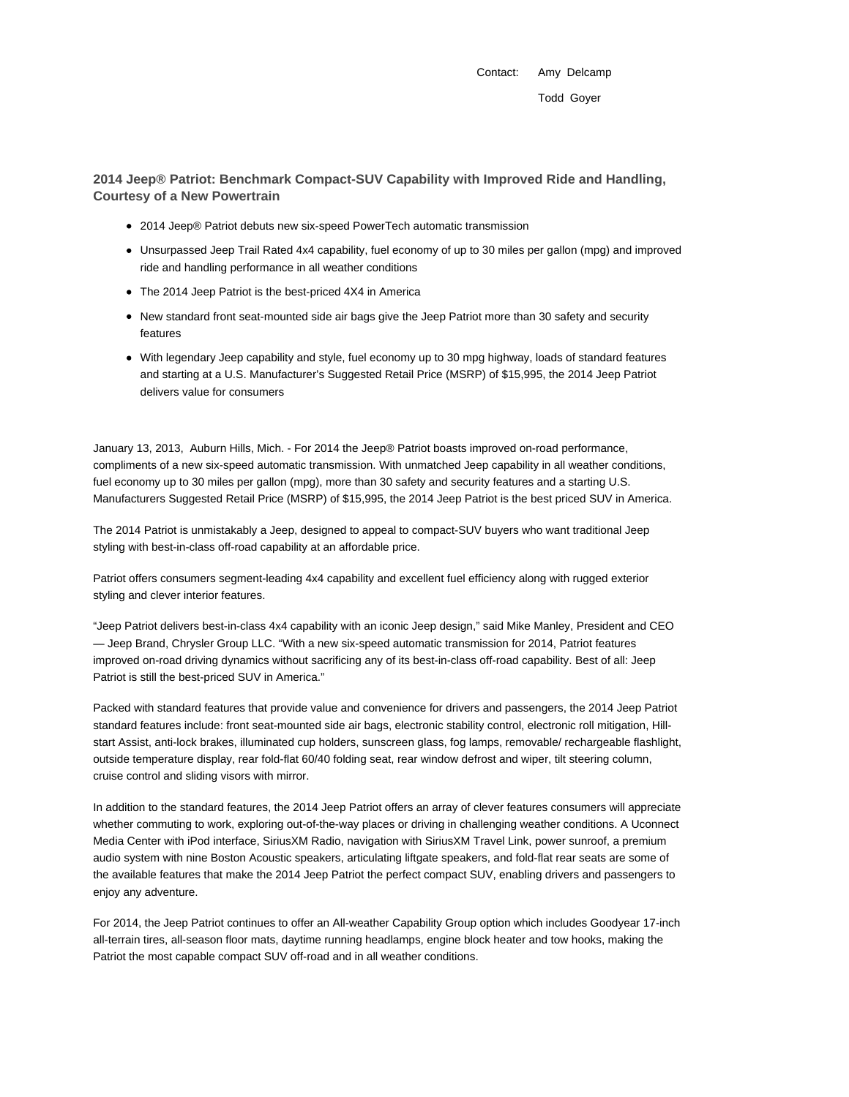Contact: Amy Delcamp Todd Goyer

**2014 Jeep® Patriot: Benchmark Compact-SUV Capability with Improved Ride and Handling, Courtesy of a New Powertrain**

- 2014 Jeep® Patriot debuts new six-speed PowerTech automatic transmission
- Unsurpassed Jeep Trail Rated 4x4 capability, fuel economy of up to 30 miles per gallon (mpg) and improved ride and handling performance in all weather conditions
- The 2014 Jeep Patriot is the best-priced 4X4 in America
- New standard front seat-mounted side air bags give the Jeep Patriot more than 30 safety and security features
- With legendary Jeep capability and style, fuel economy up to 30 mpg highway, loads of standard features and starting at a U.S. Manufacturer's Suggested Retail Price (MSRP) of \$15,995, the 2014 Jeep Patriot delivers value for consumers

January 13, 2013, Auburn Hills, Mich. - For 2014 the Jeep® Patriot boasts improved on-road performance, compliments of a new six-speed automatic transmission. With unmatched Jeep capability in all weather conditions, fuel economy up to 30 miles per gallon (mpg), more than 30 safety and security features and a starting U.S. Manufacturers Suggested Retail Price (MSRP) of \$15,995, the 2014 Jeep Patriot is the best priced SUV in America.

The 2014 Patriot is unmistakably a Jeep, designed to appeal to compact-SUV buyers who want traditional Jeep styling with best-in-class off-road capability at an affordable price.

Patriot offers consumers segment-leading 4x4 capability and excellent fuel efficiency along with rugged exterior styling and clever interior features.

"Jeep Patriot delivers best-in-class 4x4 capability with an iconic Jeep design," said Mike Manley, President and CEO — Jeep Brand, Chrysler Group LLC. "With a new six-speed automatic transmission for 2014, Patriot features improved on-road driving dynamics without sacrificing any of its best-in-class off-road capability. Best of all: Jeep Patriot is still the best-priced SUV in America."

Packed with standard features that provide value and convenience for drivers and passengers, the 2014 Jeep Patriot standard features include: front seat-mounted side air bags, electronic stability control, electronic roll mitigation, Hillstart Assist, anti-lock brakes, illuminated cup holders, sunscreen glass, fog lamps, removable/ rechargeable flashlight, outside temperature display, rear fold-flat 60/40 folding seat, rear window defrost and wiper, tilt steering column, cruise control and sliding visors with mirror.

In addition to the standard features, the 2014 Jeep Patriot offers an array of clever features consumers will appreciate whether commuting to work, exploring out-of-the-way places or driving in challenging weather conditions. A Uconnect Media Center with iPod interface, SiriusXM Radio, navigation with SiriusXM Travel Link, power sunroof, a premium audio system with nine Boston Acoustic speakers, articulating liftgate speakers, and fold-flat rear seats are some of the available features that make the 2014 Jeep Patriot the perfect compact SUV, enabling drivers and passengers to enjoy any adventure.

For 2014, the Jeep Patriot continues to offer an All-weather Capability Group option which includes Goodyear 17-inch all-terrain tires, all-season floor mats, daytime running headlamps, engine block heater and tow hooks, making the Patriot the most capable compact SUV off-road and in all weather conditions.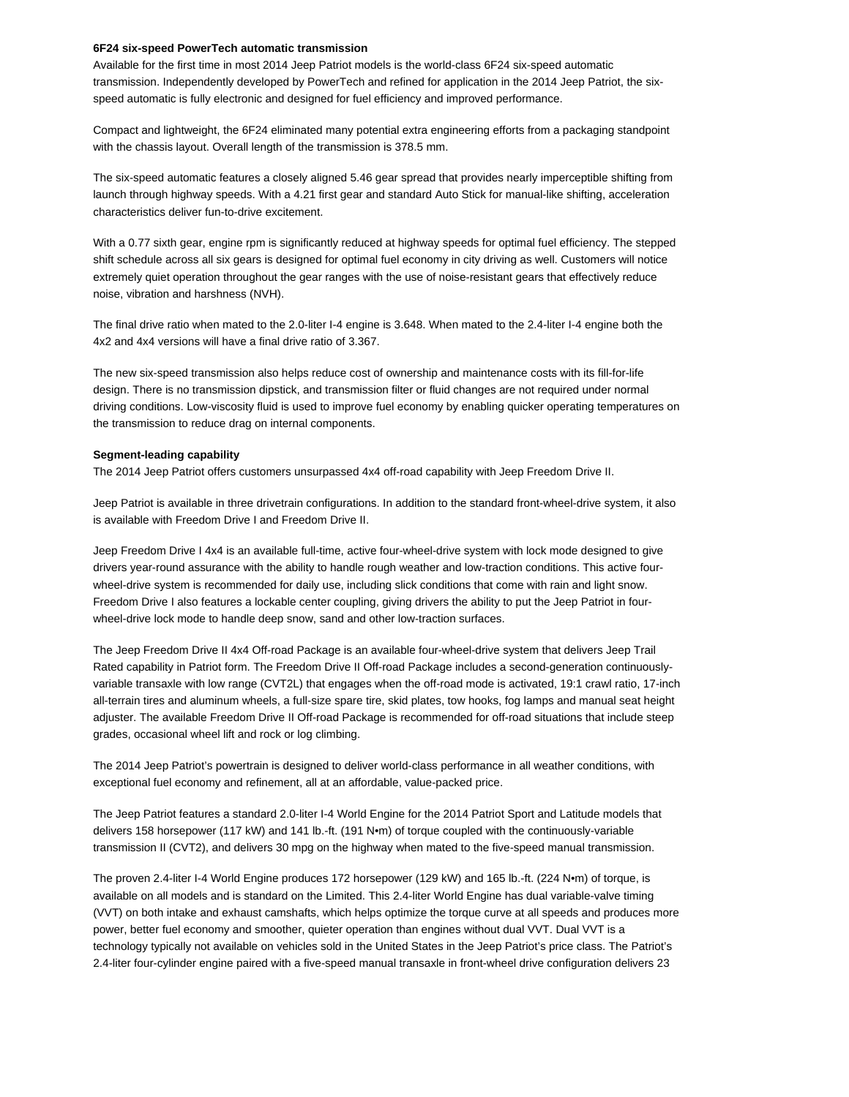## **6F24 six-speed PowerTech automatic transmission**

Available for the first time in most 2014 Jeep Patriot models is the world-class 6F24 six-speed automatic transmission. Independently developed by PowerTech and refined for application in the 2014 Jeep Patriot, the sixspeed automatic is fully electronic and designed for fuel efficiency and improved performance.

Compact and lightweight, the 6F24 eliminated many potential extra engineering efforts from a packaging standpoint with the chassis layout. Overall length of the transmission is 378.5 mm.

The six-speed automatic features a closely aligned 5.46 gear spread that provides nearly imperceptible shifting from launch through highway speeds. With a 4.21 first gear and standard Auto Stick for manual-like shifting, acceleration characteristics deliver fun-to-drive excitement.

With a 0.77 sixth gear, engine rpm is significantly reduced at highway speeds for optimal fuel efficiency. The stepped shift schedule across all six gears is designed for optimal fuel economy in city driving as well. Customers will notice extremely quiet operation throughout the gear ranges with the use of noise-resistant gears that effectively reduce noise, vibration and harshness (NVH).

The final drive ratio when mated to the 2.0-liter I-4 engine is 3.648. When mated to the 2.4-liter I-4 engine both the 4x2 and 4x4 versions will have a final drive ratio of 3.367.

The new six-speed transmission also helps reduce cost of ownership and maintenance costs with its fill-for-life design. There is no transmission dipstick, and transmission filter or fluid changes are not required under normal driving conditions. Low-viscosity fluid is used to improve fuel economy by enabling quicker operating temperatures on the transmission to reduce drag on internal components.

#### **Segment-leading capability**

The 2014 Jeep Patriot offers customers unsurpassed 4x4 off-road capability with Jeep Freedom Drive II.

Jeep Patriot is available in three drivetrain configurations. In addition to the standard front-wheel-drive system, it also is available with Freedom Drive I and Freedom Drive II.

Jeep Freedom Drive I 4x4 is an available full-time, active four-wheel-drive system with lock mode designed to give drivers year-round assurance with the ability to handle rough weather and low-traction conditions. This active fourwheel-drive system is recommended for daily use, including slick conditions that come with rain and light snow. Freedom Drive I also features a lockable center coupling, giving drivers the ability to put the Jeep Patriot in fourwheel-drive lock mode to handle deep snow, sand and other low-traction surfaces.

The Jeep Freedom Drive II 4x4 Off-road Package is an available four-wheel-drive system that delivers Jeep Trail Rated capability in Patriot form. The Freedom Drive II Off-road Package includes a second-generation continuouslyvariable transaxle with low range (CVT2L) that engages when the off-road mode is activated, 19:1 crawl ratio, 17-inch all-terrain tires and aluminum wheels, a full-size spare tire, skid plates, tow hooks, fog lamps and manual seat height adjuster. The available Freedom Drive II Off-road Package is recommended for off-road situations that include steep grades, occasional wheel lift and rock or log climbing.

The 2014 Jeep Patriot's powertrain is designed to deliver world-class performance in all weather conditions, with exceptional fuel economy and refinement, all at an affordable, value-packed price.

The Jeep Patriot features a standard 2.0-liter I-4 World Engine for the 2014 Patriot Sport and Latitude models that delivers 158 horsepower (117 kW) and 141 lb.-ft. (191 N•m) of torque coupled with the continuously-variable transmission II (CVT2), and delivers 30 mpg on the highway when mated to the five-speed manual transmission.

The proven 2.4-liter I-4 World Engine produces 172 horsepower (129 kW) and 165 lb.-ft. (224 N•m) of torque, is available on all models and is standard on the Limited. This 2.4-liter World Engine has dual variable-valve timing (VVT) on both intake and exhaust camshafts, which helps optimize the torque curve at all speeds and produces more power, better fuel economy and smoother, quieter operation than engines without dual VVT. Dual VVT is a technology typically not available on vehicles sold in the United States in the Jeep Patriot's price class. The Patriot's 2.4-liter four-cylinder engine paired with a five-speed manual transaxle in front-wheel drive configuration delivers 23